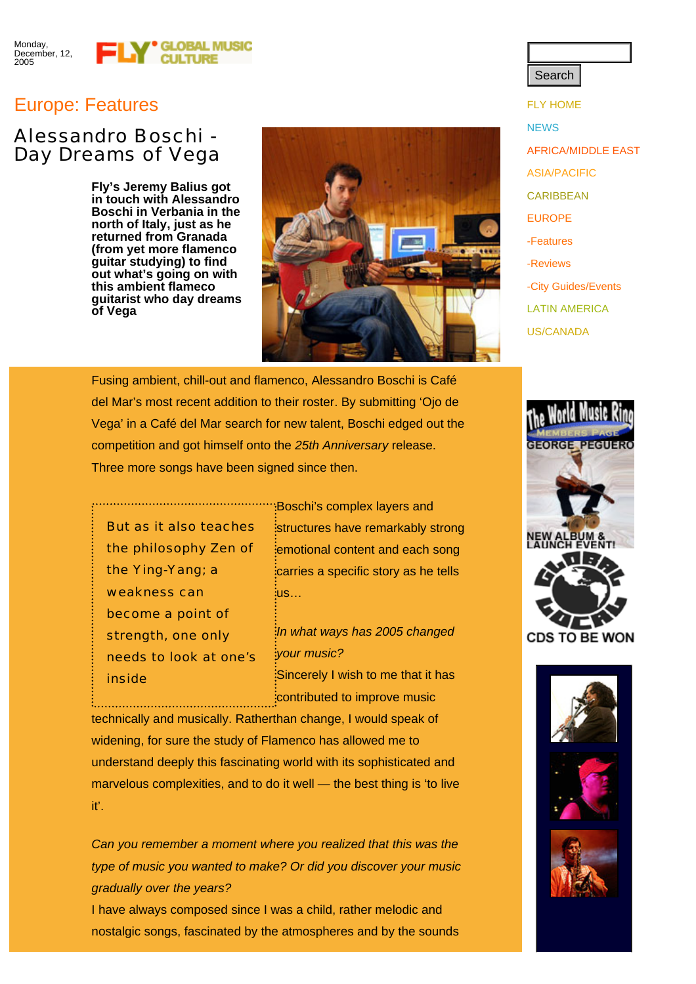## Europe: Features Fundamental Contract of the Contract of the Contract of the Contract of the Contract of the Contract of the Contract of the Contract of the Contract of the Contract of the Contract of the Contract of the C

## Alessandro Boschi - Day Dreams of Vega

**Fly's Jeremy Balius got in touch with Alessandro Boschi in Verbania in the north of Italy, just as he returned from Granada (from yet more flamenco guitar studying) to find out what's going on with this ambient flameco guitarist who day dreams of Vega**



**Search** 

**NEWS** AFRICA/MIDDLE EAST ASIA/PACIFIC **CARIBBEAN** EUROPE -Features -Reviews -City Guides/Events LATIN AMERICA US/CANADA

Fusing ambient, chill-out and flamenco, Alessandro Boschi is Café del Mar's most recent addition to their roster. By submitting 'Ojo de Vega' in a Café del Mar search for new talent, Boschi edged out the competition and got himself onto the *25th Anniversary* release. Three more songs have been signed since then.

But as it also teaches the philosophy Zen of the Ying-Yang; a weakness can become a point of strength, one only needs to look at one's inside

Boschi's complex layers and structures have remarkably strong emotional content and each song carries a specific story as he tells us…

> *In what ways has 2005 changed your music?* Sincerely I wish to me that it has contributed to improve music

technically and musically. Ratherthan change, I would speak of widening, for sure the study of Flamenco has allowed me to understand deeply this fascinating world with its sophisticated and marvelous complexities, and to do it well — the best thing is 'to live it'.

*Can you remember a moment where you realized that this was the type of music you wanted to make? Or did you discover your music gradually over the years?*

I have always composed since I was a child, rather melodic and nostalgic songs, fascinated by the atmospheres and by the sounds



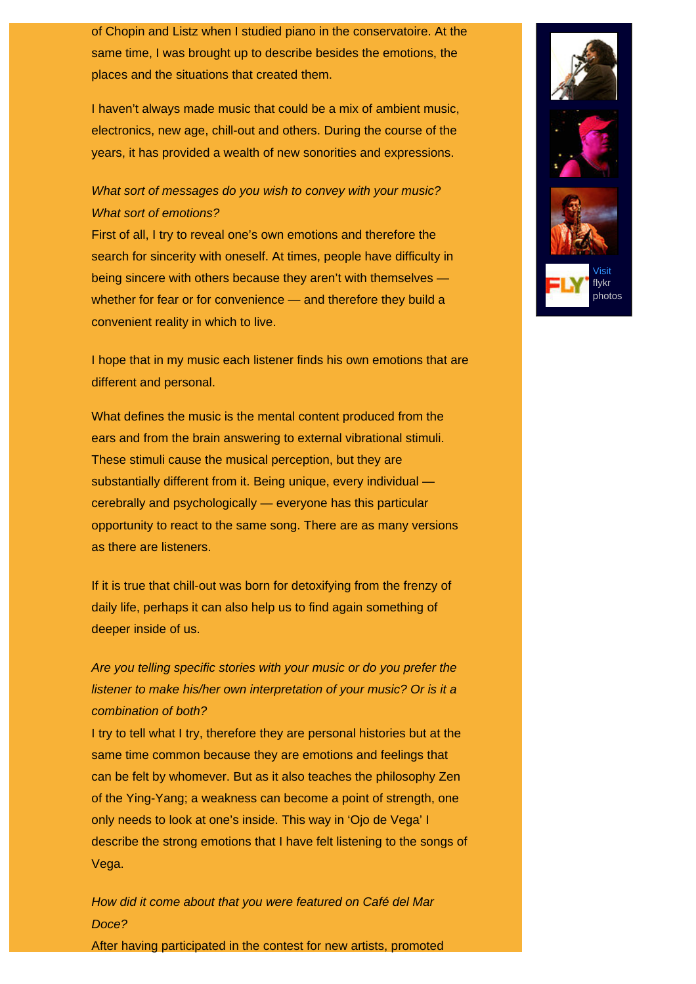of Chopin and Listz when I studied piano in the conservatoire. At the same time, I was brought up to describe besides the emotions, the places and the situations that created them.

I haven't always made music that could be a mix of ambient music, electronics, new age, chill-out and others. During the course of the years, it has provided a wealth of new sonorities and expressions.

### *What sort of messages do you wish to convey with your music? What sort of emotions?*

First of all, I try to reveal one's own emotions and therefore the search for sincerity with oneself. At times, people have difficulty in being sincere with others because they aren't with themselves whether for fear or for convenience — and therefore they build a convenient reality in which to live.

I hope that in my music each listener finds his own emotions that are different and personal.

What defines the music is the mental content produced from the ears and from the brain answering to external vibrational stimuli. These stimuli cause the musical perception, but they are substantially different from it. Being unique, every individual cerebrally and psychologically — everyone has this particular opportunity to react to the same song. There are as many versions as there are listeners.

If it is true that chill-out was born for detoxifying from the frenzy of daily life, perhaps it can also help us to find again something of deeper inside of us.

*Are you telling specific stories with your music or do you prefer the listener to make his/her own interpretation of your music? Or is it a combination of both?*

I try to tell what I try, therefore they are personal histories but at the same time common because they are emotions and feelings that can be felt by whomever. But as it also teaches the philosophy Zen of the Ying-Yang; a weakness can become a point of strength, one only needs to look at one's inside. This way in 'Ojo de Vega' I describe the strong emotions that I have felt listening to the songs of Vega.

*How did it come about that you were featured on Café del Mar Doce?*

After having participated in the contest for new artists, promoted